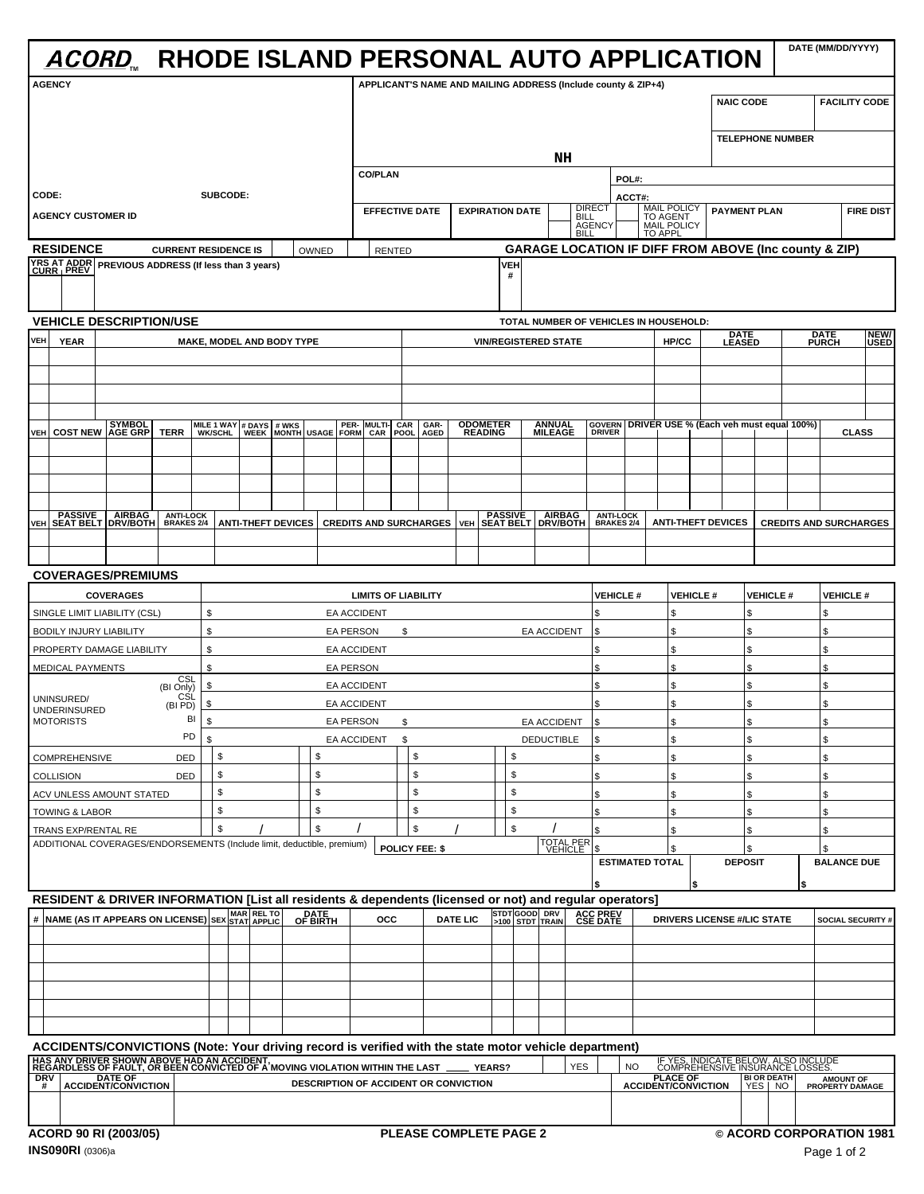| ACORD RHODE ISLAND PERSONAL AUTO APPLICATION                                                                                                                                                                                       |                                  |                                                                         |                                      |                                               | DATE (MM/DD/YYYY)    |
|------------------------------------------------------------------------------------------------------------------------------------------------------------------------------------------------------------------------------------|----------------------------------|-------------------------------------------------------------------------|--------------------------------------|-----------------------------------------------|----------------------|
| <b>AGENCY</b>                                                                                                                                                                                                                      |                                  | APPLICANT'S NAME AND MAILING ADDRESS (Include county & ZIP+4)           |                                      |                                               |                      |
|                                                                                                                                                                                                                                    |                                  |                                                                         |                                      | NAIC CODE                                     | <b>FACILITY CODE</b> |
|                                                                                                                                                                                                                                    |                                  |                                                                         |                                      |                                               |                      |
|                                                                                                                                                                                                                                    |                                  |                                                                         |                                      | <b>TELEPHONE NUMBER</b>                       |                      |
|                                                                                                                                                                                                                                    |                                  | NH                                                                      |                                      |                                               |                      |
|                                                                                                                                                                                                                                    | <b>CO/PLAN</b>                   |                                                                         | <b>POL#</b>                          |                                               |                      |
| CODE:<br>SUBCODE:                                                                                                                                                                                                                  | EFFECTIVE DATE   EXPIRATION DATE |                                                                         | MAIL POLICY PAYMENT PLAN             |                                               | <b>FIRE DIST</b>     |
| <b>AGENCY CUSTOMER ID</b>                                                                                                                                                                                                          |                                  | AGENCY                                                                  | <b>MAIL POLICY</b><br><b>TO APPL</b> |                                               |                      |
| <b>RESIDENCE</b><br><b>CURRENT RESIDENCE IS</b>                                                                                                                                                                                    | RENTED<br>OWNED I                | <b>GARAGE LOCATION IF DIFF FROM ABOVE (Inc county &amp; ZIP)</b>        |                                      |                                               |                      |
| YRS AT ADDR<br>CURR   PREV PREVIOUS ADDRESS (If less than 3 years)                                                                                                                                                                 |                                  |                                                                         |                                      |                                               |                      |
|                                                                                                                                                                                                                                    |                                  |                                                                         |                                      |                                               |                      |
|                                                                                                                                                                                                                                    |                                  |                                                                         |                                      |                                               |                      |
| <b>VEHICLE DESCRIPTION/USE</b>                                                                                                                                                                                                     |                                  | TOTAL NUMBER OF VEHICLES IN HOUSEHOLD:                                  |                                      |                                               |                      |
| VEH YEAR<br>MAKE, MODEL AND BODY TYPE                                                                                                                                                                                              |                                  | <b>VIN/REGISTERED STAT</b>                                              | HP/CC                                | <u>LEASED</u>                                 | <b>DATE</b><br>PURCH |
|                                                                                                                                                                                                                                    |                                  |                                                                         |                                      |                                               |                      |
|                                                                                                                                                                                                                                    |                                  |                                                                         |                                      |                                               |                      |
|                                                                                                                                                                                                                                    |                                  |                                                                         |                                      |                                               |                      |
| VEH COST NEW AGE GRP TERR WIKIS WERE MULTI- CAR GAR- ODOMETER<br>VEH COST NEW AGE GRP TERR WIKISCHL WEEK MONTH USAGE FORM CAR POOL AGED READING                                                                                    |                                  | ANNUAL GOVERN DRIVER USE % (Each veh must equal 100%)<br>MILEAGE DRIVER |                                      |                                               | <b>CLASS</b>         |
|                                                                                                                                                                                                                                    |                                  |                                                                         |                                      |                                               |                      |
|                                                                                                                                                                                                                                    |                                  |                                                                         |                                      |                                               |                      |
|                                                                                                                                                                                                                                    |                                  |                                                                         |                                      |                                               |                      |
| YEH SEAT BELT DRIVIBOTH BRAKES 24 ANTI-THEFT DEVICES CREDITS AND SURCHARGES VEH SEAT BELT DRIVIBOTH BRAKES 24 ANTI-LOCK CREDITS AND SURCHARGES                                                                                     |                                  |                                                                         |                                      |                                               |                      |
|                                                                                                                                                                                                                                    |                                  |                                                                         |                                      |                                               |                      |
|                                                                                                                                                                                                                                    |                                  |                                                                         |                                      |                                               |                      |
| <b>COVERAGES/PREMIUMS</b>                                                                                                                                                                                                          |                                  |                                                                         |                                      |                                               |                      |
| <b>COVERAGES</b>                                                                                                                                                                                                                   | <b>LIMITS OF LIABILITY</b>       | VEHICLE #                                                               |                                      | $\vert$ VEHICLE # $\vert$ VEHICLE #           | <b>VEHICLE#</b>      |
| SINGLE LIMIT LIABILITY (CSL)                                                                                                                                                                                                       | <b>EA ACCIDENT</b>               |                                                                         |                                      |                                               |                      |
| <b>BODILY INJURY LIABILITY</b>                                                                                                                                                                                                     | EA PERSON                        | EA ACCIDENT                                                             |                                      |                                               |                      |
| PROPERTY DAMAGE LIABILITY                                                                                                                                                                                                          | <b>EA ACCIDENT</b>               |                                                                         |                                      |                                               |                      |
| <b>MEDICAL PAYMENTS</b>                                                                                                                                                                                                            | EA PERSON<br><b>EA ACCIDENT</b>  |                                                                         |                                      |                                               |                      |
| (BI Only) L<br>UNINSURED/<br>(BI PD)                                                                                                                                                                                               | <b>EA ACCIDENT</b>               |                                                                         |                                      |                                               |                      |
| UNDERINSURED<br><b>MOTORISTS</b>                                                                                                                                                                                                   | EA PERSON \$                     | EA ACCIDENT                                                             |                                      |                                               |                      |
|                                                                                                                                                                                                                                    | <b>EA ACCIDENT</b>               | <b>DEDUCTIBLE</b>                                                       |                                      |                                               |                      |
| <b>COMPREHENSIVE</b>                                                                                                                                                                                                               |                                  |                                                                         |                                      |                                               |                      |
| COLLISION<br>DED                                                                                                                                                                                                                   |                                  |                                                                         |                                      |                                               |                      |
| ACV UNLESS AMOUNT STATED                                                                                                                                                                                                           |                                  |                                                                         |                                      |                                               |                      |
| <b>TOWING &amp; LABOR</b><br>TRANS EXP/RENTAL RE                                                                                                                                                                                   | $\mathbb{R}$                     | $\sqrt{s}$                                                              |                                      |                                               |                      |
| ADDITIONAL COVERAGES/ENDORSEMENTS (Include limit, deductible, premium)   POLICY FEE: \$                                                                                                                                            |                                  | TOTAL PER                                                               |                                      |                                               |                      |
|                                                                                                                                                                                                                                    |                                  |                                                                         | $\vert$ ESTIMATED TOTAL $\vert$      | <b>DEPOSIT</b>                                | <b>BALANCE DUE</b>   |
|                                                                                                                                                                                                                                    |                                  |                                                                         |                                      |                                               |                      |
| RESIDENT & DRIVER INFORMATION [List all residents & dependents (licensed or not) and regular operators]<br># NAME (AS IT APPEARS ON LICENSE) SEX STAT APPLIC OF BIRTH OCC DATE LIC 3100 STDT TRAIN CSE DATE DRIVERS ON LICENSE)    |                                  |                                                                         |                                      |                                               |                      |
|                                                                                                                                                                                                                                    |                                  |                                                                         |                                      | DRIVERS LICENSE #/LIC STATE SOCIAL SECURITY # |                      |
|                                                                                                                                                                                                                                    |                                  |                                                                         |                                      |                                               |                      |
|                                                                                                                                                                                                                                    |                                  |                                                                         |                                      |                                               |                      |
|                                                                                                                                                                                                                                    |                                  |                                                                         |                                      |                                               |                      |
|                                                                                                                                                                                                                                    |                                  |                                                                         |                                      |                                               |                      |
|                                                                                                                                                                                                                                    |                                  |                                                                         |                                      |                                               |                      |
|                                                                                                                                                                                                                                    |                                  |                                                                         |                                      |                                               |                      |
| ACCIDENTS/CONVICTIONS (Note: Your driving record is verified with the state motor vehicle department)<br>HAS ANY DRIVER SHOWN ABOVE HAD AN ACCIDENT,<br>REGARDLESS OF FAULT, OR BEEN CONVICTED OF A MOVING VIOLATION WITHIN THE LA |                                  |                                                                         |                                      |                                               |                      |
|                                                                                                                                                                                                                                    |                                  |                                                                         |                                      |                                               |                      |
|                                                                                                                                                                                                                                    |                                  |                                                                         |                                      |                                               |                      |
| <b>ACORD 90 RI (2003/05)</b>                                                                                                                                                                                                       |                                  | PLEASE COMPLETE PAGE 2                                                  |                                      | © ACORD CORPORATION 1981                      |                      |
|                                                                                                                                                                                                                                    |                                  |                                                                         |                                      |                                               |                      |